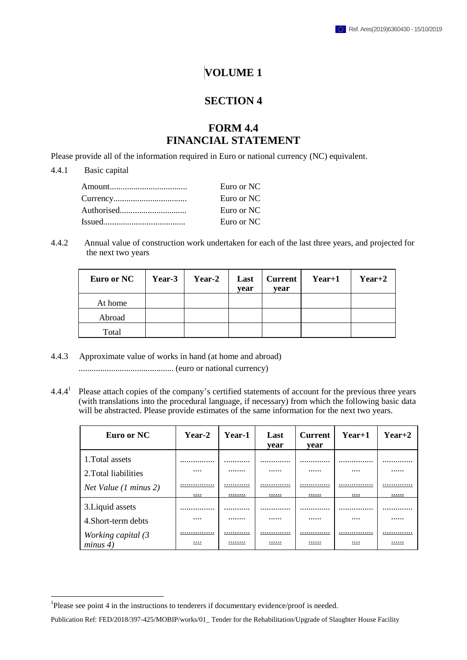## **VOLUME 1**

## **SECTION 4**

## **FORM 4.4 FINANCIAL STATEMENT**

Please provide all of the information required in Euro or national currency (NC) equivalent.

## 4.4.1 Basic capital

 $\overline{a}$ 

| Euro or NC |
|------------|
| Euro or NC |
| Euro or NC |
| Euro or NC |
|            |

4.4.2 Annual value of construction work undertaken for each of the last three years, and projected for the next two years

| Euro or NC | Year-3 | Year-2 | Last<br>vear | Current<br>vear | $Year+1$ | $Year+2$ |
|------------|--------|--------|--------------|-----------------|----------|----------|
| At home    |        |        |              |                 |          |          |
| Abroad     |        |        |              |                 |          |          |
| Total      |        |        |              |                 |          |          |

4.4.3 Approximate value of works in hand (at home and abroad)

............................................ (euro or national currency)

 $4.4.4<sup>1</sup>$ Please attach copies of the company's certified statements of account for the previous three years (with translations into the procedural language, if necessary) from which the following basic data will be abstracted. Please provide estimates of the same information for the next two years.

| Euro or NC                     | Year-2       | Year-1      | Last<br>vear | <b>Current</b><br>vear | $Year+1$     | $Year+2$    |
|--------------------------------|--------------|-------------|--------------|------------------------|--------------|-------------|
| 1. Total assets                |              |             |              |                        | .            |             |
| 2. Total liabilities           |              |             |              |                        |              |             |
| Net Value (1 minus 2)          | <br>$\cdots$ | <br><u></u> | <br><u></u>  | <br>                   | .<br><u></u> | <br><u></u> |
| 3. Liquid assets               |              |             |              |                        | .            |             |
| 4 Short-term debts             |              |             |              |                        |              |             |
| Working capital (3<br>minus 4) | <br>         | <br>        | <br>         | <br>                   | .<br>        | <br>        |

<sup>&</sup>lt;sup>1</sup>Please see point 4 in the instructions to tenderers if documentary evidence/proof is needed.

Publication Ref: FED/2018/397-425/MOBIP/works/01\_ Tender for the Rehabilitation/Upgrade of Slaughter House Facility